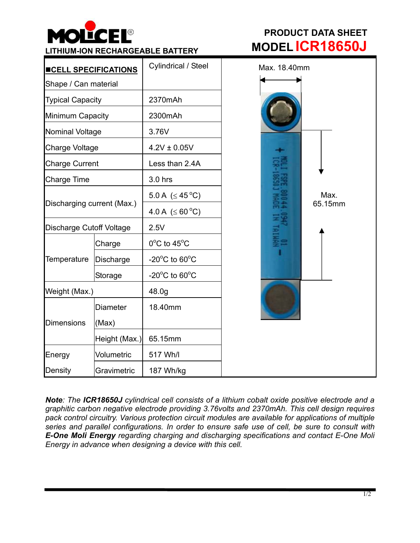

| <u><b>INCELL SPECIFICATIONS</b></u> |                  | Cylindrical / Steel                |
|-------------------------------------|------------------|------------------------------------|
| Shape / Can material                |                  |                                    |
| <b>Typical Capacity</b>             |                  | 2370mAh                            |
| Minimum Capacity                    |                  | 2300mAh                            |
| Nominal Voltage                     |                  | 3.76V                              |
| Charge Voltage                      |                  | $4.2V \pm 0.05V$                   |
| <b>Charge Current</b>               |                  | Less than 2.4A                     |
| <b>Charge Time</b>                  |                  | 3.0 hrs                            |
| Discharging current (Max.)          |                  | 5.0 A ( $\leq$ 45 °C)              |
|                                     |                  | 4.0 A ( $\leq 60^{\circ}$ C)       |
| Discharge Cutoff Voltage            |                  | 2.5V                               |
| Temperature                         | Charge           | $0^{\circ}$ C to 45 $^{\circ}$ C   |
|                                     | <b>Discharge</b> | $-20^{\circ}$ C to 60 $^{\circ}$ C |
|                                     | Storage          | $-20^{\circ}$ C to 60 $^{\circ}$ C |
| Weight (Max.)                       |                  | 48.0g                              |
| <b>Dimensions</b>                   | <b>Diameter</b>  | 18.40mm                            |
|                                     | (Max)            |                                    |
|                                     | Height (Max.)    | 65.15mm                            |
| Energy                              | Volumetric       | 517 Wh/l                           |
| Density                             | Gravimetric      | 187 Wh/kg                          |

## **PRODUCT DATA SHEET LITHIUM-ION RECHARGEABLE BATTERY MODEL ICR18650J**



*Note: The ICR18650J cylindrical cell consists of a lithium cobalt oxide positive electrode and a graphitic carbon negative electrode providing 3.76volts and 2370mAh. This cell design requires pack control circuitry. Various protection circuit modules are available for applications of multiple series and parallel configurations. In order to ensure safe use of cell, be sure to consult with E-One Moli Energy regarding charging and discharging specifications and contact E-One Moli Energy in advance when designing a device with this cell.*